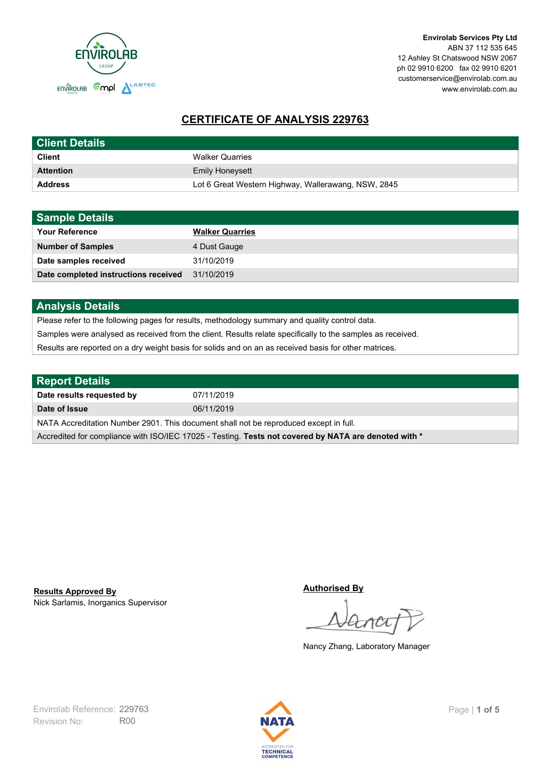

# **CERTIFICATE OF ANALYSIS 229763**

| <b>Client Details</b> |                                                     |
|-----------------------|-----------------------------------------------------|
| <b>Client</b>         | <b>Walker Quarries</b>                              |
| <b>Attention</b>      | <b>Emily Honeysett</b>                              |
| <b>Address</b>        | Lot 6 Great Western Highway, Wallerawang, NSW, 2845 |

| <b>Sample Details</b>                |                        |
|--------------------------------------|------------------------|
| <b>Your Reference</b>                | <b>Walker Quarries</b> |
| <b>Number of Samples</b>             | 4 Dust Gauge           |
| Date samples received                | 31/10/2019             |
| Date completed instructions received | 31/10/2019             |

## **Analysis Details**

Please refer to the following pages for results, methodology summary and quality control data.

Samples were analysed as received from the client. Results relate specifically to the samples as received.

Results are reported on a dry weight basis for solids and on an as received basis for other matrices.

| <b>Report Details</b>                                                                                |            |  |
|------------------------------------------------------------------------------------------------------|------------|--|
| Date results requested by                                                                            | 07/11/2019 |  |
| Date of Issue                                                                                        | 06/11/2019 |  |
| NATA Accreditation Number 2901. This document shall not be reproduced except in full.                |            |  |
| Accredited for compliance with ISO/IEC 17025 - Testing. Tests not covered by NATA are denoted with * |            |  |

Nick Sarlamis, Inorganics Supervisor **Results Approved By**

**Authorised By**

Nancy Zhang, Laboratory Manager

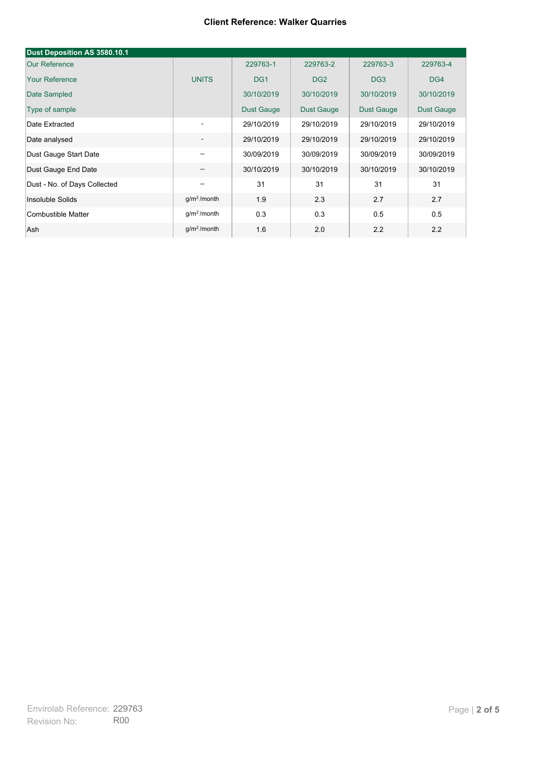#### **Client Reference: Walker Quarries**

| Dust Deposition AS 3580.10.1       |                          |                   |                   |                 |                   |
|------------------------------------|--------------------------|-------------------|-------------------|-----------------|-------------------|
| Our Reference                      |                          | 229763-1          | 229763-2          | 229763-3        | 229763-4          |
| <b>Your Reference</b>              | <b>UNITS</b>             | DG <sub>1</sub>   | DG <sub>2</sub>   | DG <sub>3</sub> | DG4               |
| Date Sampled                       |                          | 30/10/2019        | 30/10/2019        | 30/10/2019      | 30/10/2019        |
| Type of sample                     |                          | <b>Dust Gauge</b> | <b>Dust Gauge</b> | Dust Gauge      | <b>Dust Gauge</b> |
| Date Extracted                     | $\blacksquare$           | 29/10/2019        | 29/10/2019        | 29/10/2019      | 29/10/2019        |
| Date analysed                      | $\overline{\phantom{a}}$ | 29/10/2019        | 29/10/2019        | 29/10/2019      | 29/10/2019        |
| Dust Gauge Start Date              | --                       | 30/09/2019        | 30/09/2019        | 30/09/2019      | 30/09/2019        |
| Dust Gauge End Date                | --                       | 30/10/2019        | 30/10/2019        | 30/10/2019      | 30/10/2019        |
| Dust - No. of Days Collected<br>-- |                          | 31                | 31                | 31              | 31                |
| Insoluble Solids                   | g/m <sup>2</sup> /month  | 1.9               | 2.3               | 2.7             | 2.7               |
| Combustible Matter                 | g/m <sup>2</sup> /month  | 0.3               | 0.3               | 0.5             | 0.5               |
| Ash                                | $q/m^2$ /month           | 1.6               | 2.0               | 2.2             | 2.2               |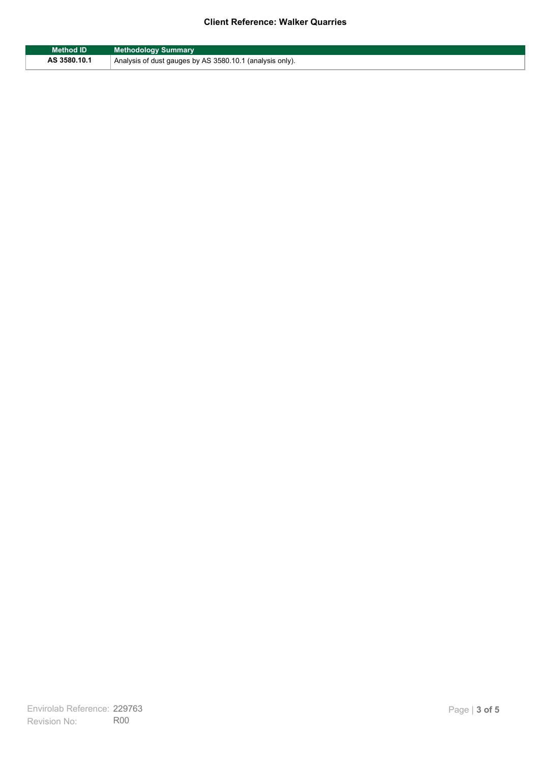#### **Client Reference: Walker Quarries**

| <b>Method ID</b> | <b>Methodology Summary</b>                               |
|------------------|----------------------------------------------------------|
| AS 3580.10.1     | Analysis of dust gauges by AS 3580.10.1 (analysis only). |

F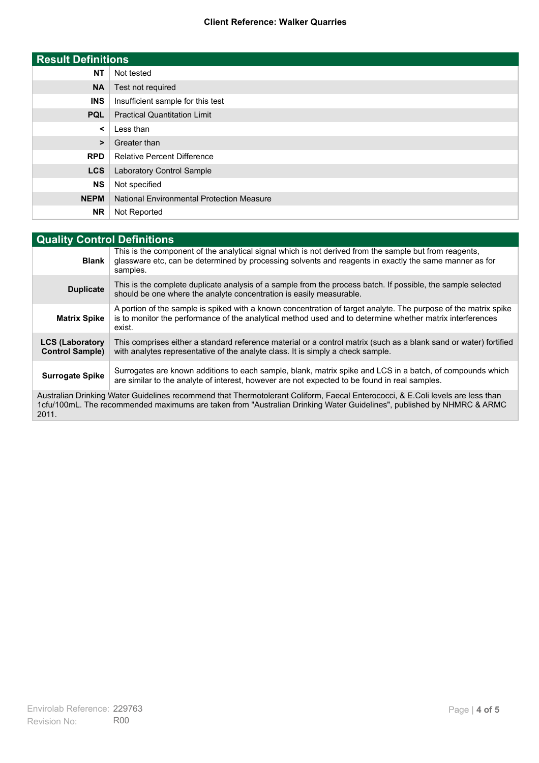#### **Client Reference: Walker Quarries**

| <b>Result Definitions</b> |                                                  |
|---------------------------|--------------------------------------------------|
| <b>NT</b>                 | Not tested                                       |
| <b>NA</b>                 | Test not required                                |
| <b>INS</b>                | Insufficient sample for this test                |
| <b>PQL</b>                | <b>Practical Quantitation Limit</b>              |
| $\prec$                   | Less than                                        |
| $\geq$                    | Greater than                                     |
| <b>RPD</b>                | <b>Relative Percent Difference</b>               |
| <b>LCS</b>                | Laboratory Control Sample                        |
| <b>NS</b>                 | Not specified                                    |
| <b>NEPM</b>               | <b>National Environmental Protection Measure</b> |
| <b>NR</b>                 | Not Reported                                     |

| <b>Quality Control Definitions</b>                                                                                                                                                                                                                      |                                                                                                                                                                                                                                        |  |
|---------------------------------------------------------------------------------------------------------------------------------------------------------------------------------------------------------------------------------------------------------|----------------------------------------------------------------------------------------------------------------------------------------------------------------------------------------------------------------------------------------|--|
| <b>Blank</b>                                                                                                                                                                                                                                            | This is the component of the analytical signal which is not derived from the sample but from reagents,<br>glassware etc, can be determined by processing solvents and reagents in exactly the same manner as for<br>samples.           |  |
| <b>Duplicate</b>                                                                                                                                                                                                                                        | This is the complete duplicate analysis of a sample from the process batch. If possible, the sample selected<br>should be one where the analyte concentration is easily measurable.                                                    |  |
| <b>Matrix Spike</b>                                                                                                                                                                                                                                     | A portion of the sample is spiked with a known concentration of target analyte. The purpose of the matrix spike<br>is to monitor the performance of the analytical method used and to determine whether matrix interferences<br>exist. |  |
| <b>LCS (Laboratory</b><br><b>Control Sample)</b>                                                                                                                                                                                                        | This comprises either a standard reference material or a control matrix (such as a blank sand or water) fortified<br>with analytes representative of the analyte class. It is simply a check sample.                                   |  |
| <b>Surrogate Spike</b>                                                                                                                                                                                                                                  | Surrogates are known additions to each sample, blank, matrix spike and LCS in a batch, of compounds which<br>are similar to the analyte of interest, however are not expected to be found in real samples.                             |  |
| Australian Drinking Water Guidelines recommend that Thermotolerant Coliform, Faecal Enterococci, & E.Coli levels are less than<br>1cfu/100mL. The recommended maximums are taken from "Australian Drinking Water Guidelines", published by NHMRC & ARMC |                                                                                                                                                                                                                                        |  |

2011.